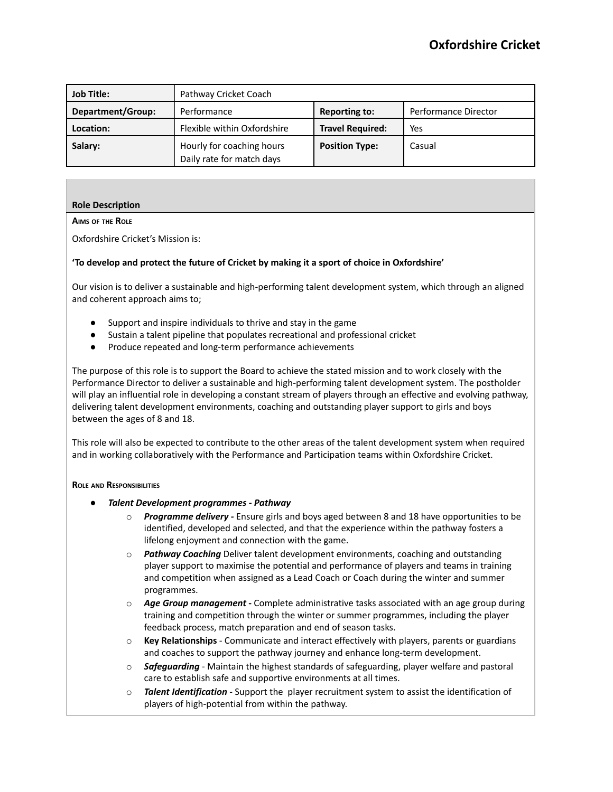| <b>Job Title:</b> | Pathway Cricket Coach                                  |                         |                      |
|-------------------|--------------------------------------------------------|-------------------------|----------------------|
| Department/Group: | Performance                                            | <b>Reporting to:</b>    | Performance Director |
| Location:         | Flexible within Oxfordshire                            | <b>Travel Required:</b> | Yes                  |
| Salary:           | Hourly for coaching hours<br>Daily rate for match days | <b>Position Type:</b>   | Casual               |

# **Role Description**

# **AIMS OF THE ROLE**

Oxfordshire Cricket's Mission is:

### **'To develop and protect the future of Cricket by making it a sport of choice in Oxfordshire'**

Our vision is to deliver a sustainable and high-performing talent development system, which through an aligned and coherent approach aims to;

- Support and inspire individuals to thrive and stay in the game
- Sustain a talent pipeline that populates recreational and professional cricket
- Produce repeated and long-term performance achievements

The purpose of this role is to support the Board to achieve the stated mission and to work closely with the Performance Director to deliver a sustainable and high-performing talent development system. The postholder will play an influential role in developing a constant stream of players through an effective and evolving pathway, delivering talent development environments, coaching and outstanding player support to girls and boys between the ages of 8 and 18.

This role will also be expected to contribute to the other areas of the talent development system when required and in working collaboratively with the Performance and Participation teams within Oxfordshire Cricket.

#### **ROLE AND RESPONSIBILITIES**

- *Talent Development programmes - Pathway*
	- **Programme delivery** Ensure girls and boys aged between 8 and 18 have opportunities to be identified, developed and selected, and that the experience within the pathway fosters a lifelong enjoyment and connection with the game.
	- o *Pathway Coaching* Deliver talent development environments, coaching and outstanding player support to maximise the potential and performance of players and teams in training and competition when assigned as a Lead Coach or Coach during the winter and summer programmes.
	- o *Age Group management* **-** Complete administrative tasks associated with an age group during training and competition through the winter or summer programmes, including the player feedback process, match preparation and end of season tasks.
	- o **Key Relationships** Communicate and interact effectively with players, parents or guardians and coaches to support the pathway journey and enhance long-term development.
	- o *Safeguarding* Maintain the highest standards of safeguarding, player welfare and pastoral care to establish safe and supportive environments at all times.
	- o *Talent Identification* Support the player recruitment system to assist the identification of players of high-potential from within the pathway.